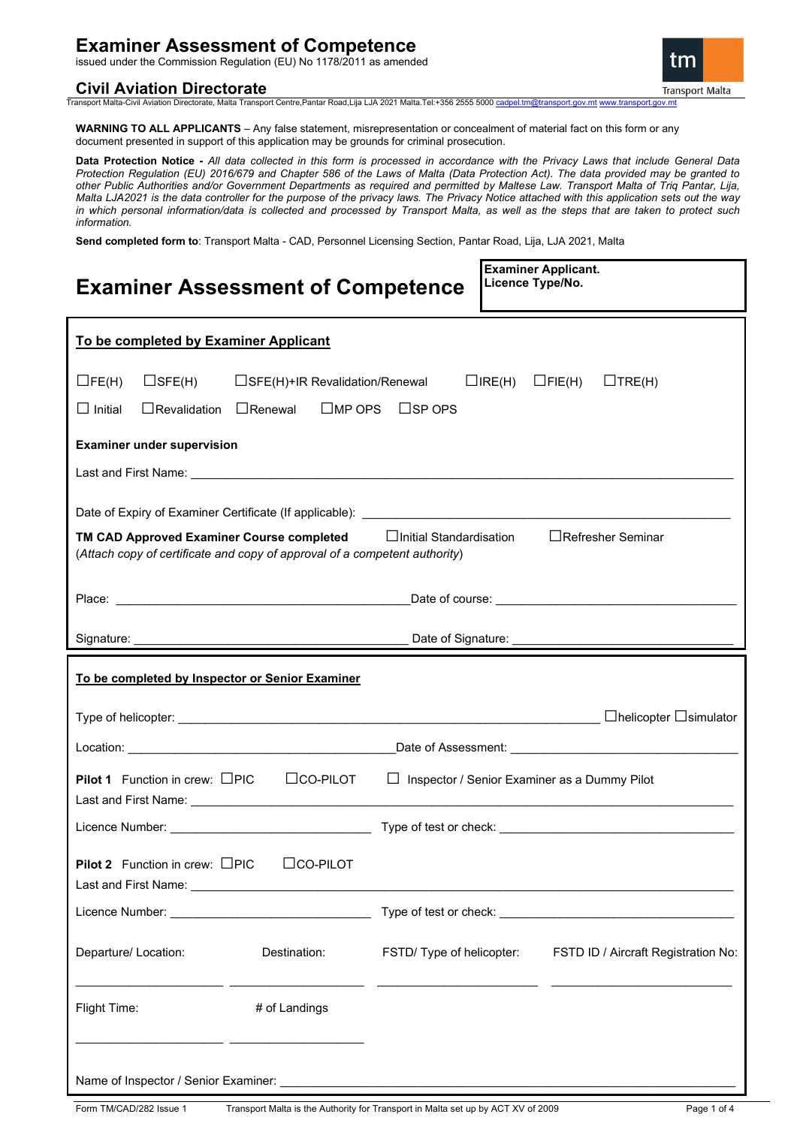## **Examiner Assessment of Competence**

issued under the Commission Regulation (EU) No 1178/2011 as amended

## **Civil Aviation Directorate**



Transport Malta-Civil Aviation Directorate, Malta Transport Centre,Pantar Road,Lija LJA 2021 Malta.Tel:+356 2555 5000 [cadpel.tm@transport.gov.mt](mailto:cadpel.tm@transport.gov.mt) [www.transport.gov.mt](http://www.transport.gov.mt/)

**WARNING TO ALL APPLICANTS** – Any false statement, misrepresentation or concealment of material fact on this form or any document presented in support of this application may be grounds for criminal prosecution.

**Data Protection Notice -** *All data collected in this form is processed in accordance with the Privacy Laws that include General Data Protection Regulation (EU) 2016/679 and Chapter 586 of the Laws of Malta (Data Protection Act). The data provided may be granted to other Public Authorities and/or Government Departments as required and permitted by Maltese Law. Transport Malta of Triq Pantar, Lija, Malta LJA2021 is the data controller for the purpose of the privacy laws. The Privacy Notice attached with this application sets out the way in which personal information/data is collected and processed by Transport Malta, as well as the steps that are taken to protect such information.*

**Send completed form to**: Transport Malta - CAD, Personnel Licensing Section, Pantar Road, Lija, LJA 2021, Malta

| <b>Examiner Assessment of Competence</b>                                                                                                                                                                                             |  | <b>Examiner Applicant.</b><br>Licence Type/No.                |
|--------------------------------------------------------------------------------------------------------------------------------------------------------------------------------------------------------------------------------------|--|---------------------------------------------------------------|
| To be completed by Examiner Applicant                                                                                                                                                                                                |  |                                                               |
| $\Box$ SFE(H)+IR Revalidation/Renewal<br>$\Box$ IRE(H) $\Box$ FIE(H)<br>$\Box$ FE(H)<br>$\Box$ SFE(H)<br>$\Box$ TRE(H)                                                                                                               |  |                                                               |
| $\square$ MP OPS $\square$ SP OPS<br>$\Box$ Initial<br>$\Box$ Revalidation<br>$\Box$ Renewal                                                                                                                                         |  |                                                               |
| <b>Examiner under supervision</b>                                                                                                                                                                                                    |  |                                                               |
|                                                                                                                                                                                                                                      |  |                                                               |
|                                                                                                                                                                                                                                      |  |                                                               |
| □Refresher Seminar<br>$\Box$ Initial Standardisation<br>TM CAD Approved Examiner Course completed<br>(Attach copy of certificate and copy of approval of a competent authority)                                                      |  |                                                               |
|                                                                                                                                                                                                                                      |  |                                                               |
|                                                                                                                                                                                                                                      |  |                                                               |
| To be completed by Inspector or Senior Examiner                                                                                                                                                                                      |  |                                                               |
|                                                                                                                                                                                                                                      |  |                                                               |
|                                                                                                                                                                                                                                      |  |                                                               |
| <b>Pilot 1</b> Function in crew: $\Box$ PIC<br>$\Box$ CO-PILOT<br>$\Box$ Inspector / Senior Examiner as a Dummy Pilot                                                                                                                |  |                                                               |
|                                                                                                                                                                                                                                      |  |                                                               |
| <b>Pilot 2</b> Function in crew: $\Box$ PIC $\Box$ CO-PILOT                                                                                                                                                                          |  |                                                               |
|                                                                                                                                                                                                                                      |  | Type of test or check: Type of test or check:                 |
| Departure/ Location:<br>Destination:                                                                                                                                                                                                 |  | FSTD/ Type of helicopter: FSTD ID / Aircraft Registration No: |
| # of Landings<br>Flight Time:                                                                                                                                                                                                        |  |                                                               |
| <u> The Community of the Community of the Community of the Community of the Community of the Community of the Community of the Community of the Community of the Community of the Community of the Community of the Community of</u> |  |                                                               |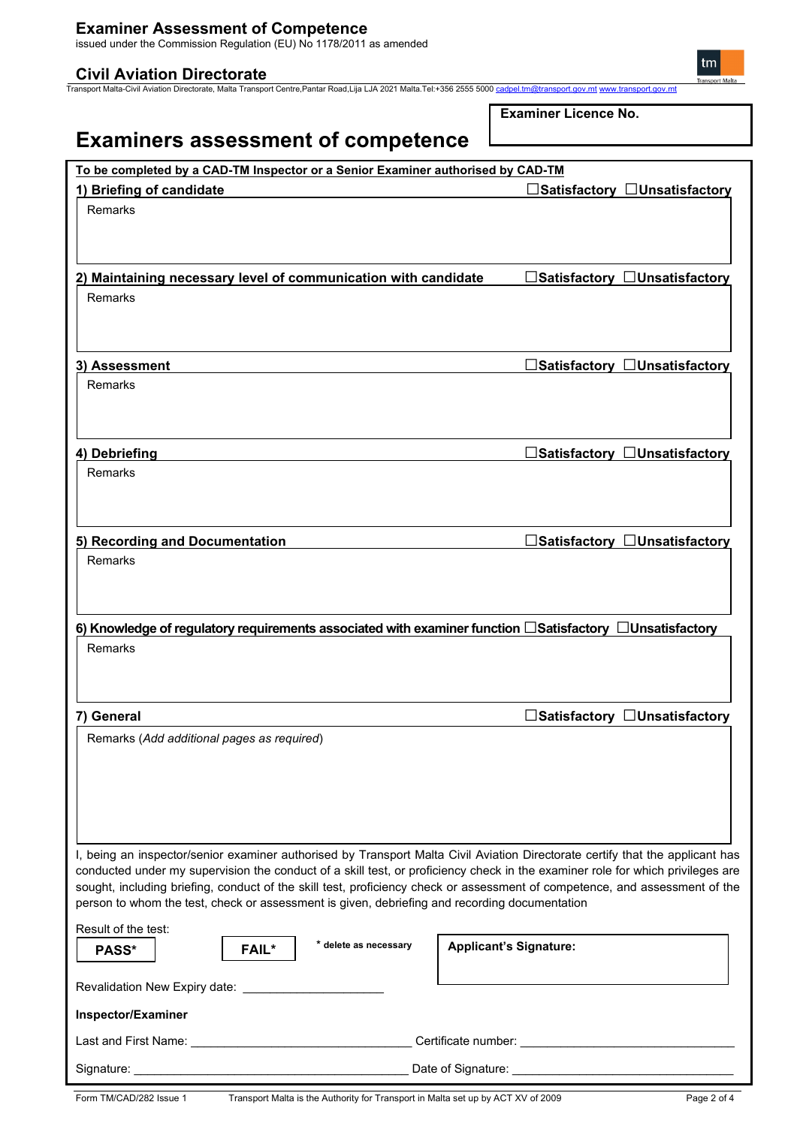issued under the Commission Regulation (EU) No 1178/2011 as amended

## **Civil Aviation Directorate**

Transport Malta-Civil Aviation Directorate, Malta Transport Centre,Pantar Road,Lija LJA 2021 Malta.Tel:+356 2555 5000 [cadpel.tm@transport.gov.mt](mailto:cadpel.tm@transport.gov.mt) [www.transport.gov.mt](http://www.transport.gov.mt/)

**Examiner Licence No.**

# **Examiners assessment of competence To be completed by a CAD-TM Inspector or a Senior Examiner authorised by CAD-TM 1) Briefing of candidate □Satisfactory □Unsatisfactory 2) Maintaining necessary level of communication with candidate □Satisfactory □Unsatisfactory 3) Assessment □Satisfactory □Unsatisfactory 4) Debriefing □Satisfactory □Unsatisfactory 5) Recording and Documentation □Satisfactory □Unsatisfactory 6) Knowledge of regulatory requirements associated with examiner function □Satisfactory □Unsatisfactory 7) General □Satisfactory □Unsatisfactory** I, being an inspector/senior examiner authorised by Transport Malta Civil Aviation Directorate certify that the applicant has conducted under my supervision the conduct of a skill test, or proficiency check in the examiner role for which privileges are sought, including briefing, conduct of the skill test, proficiency check or assessment of competence, and assessment of the person to whom the test, check or assessment is given, debriefing and recording documentation Result of the test: Revalidation New Expiry date: \_\_\_\_\_\_\_\_\_\_\_\_\_\_\_\_\_\_\_\_\_ **Inspector/Examiner** Last and First Name: \_\_\_\_\_\_\_\_\_\_\_\_\_\_\_\_\_\_\_\_\_\_\_\_\_\_\_\_\_\_\_\_\_ Certificate number: \_\_\_\_\_\_\_\_\_\_\_\_\_\_\_\_\_\_\_\_\_\_\_\_\_\_\_\_\_\_\_\_ Signature: \_\_\_\_\_\_\_\_\_\_\_\_\_\_\_\_\_\_\_\_\_\_\_\_\_\_\_\_\_\_\_\_\_\_\_\_\_\_\_\_\_ Date of Signature: \_\_\_\_\_\_\_\_\_\_\_\_\_\_\_\_\_\_\_\_\_\_\_\_\_\_\_\_\_\_\_\_\_ Remarks (*Add additional pages as required*) Remarks Remarks Remarks Remarks Remarks Remarks **PASS\* FAIL\* EXALUFER FAIL**\* **EXALUFER APPLICANT APPLICANT SIGNATURE:**

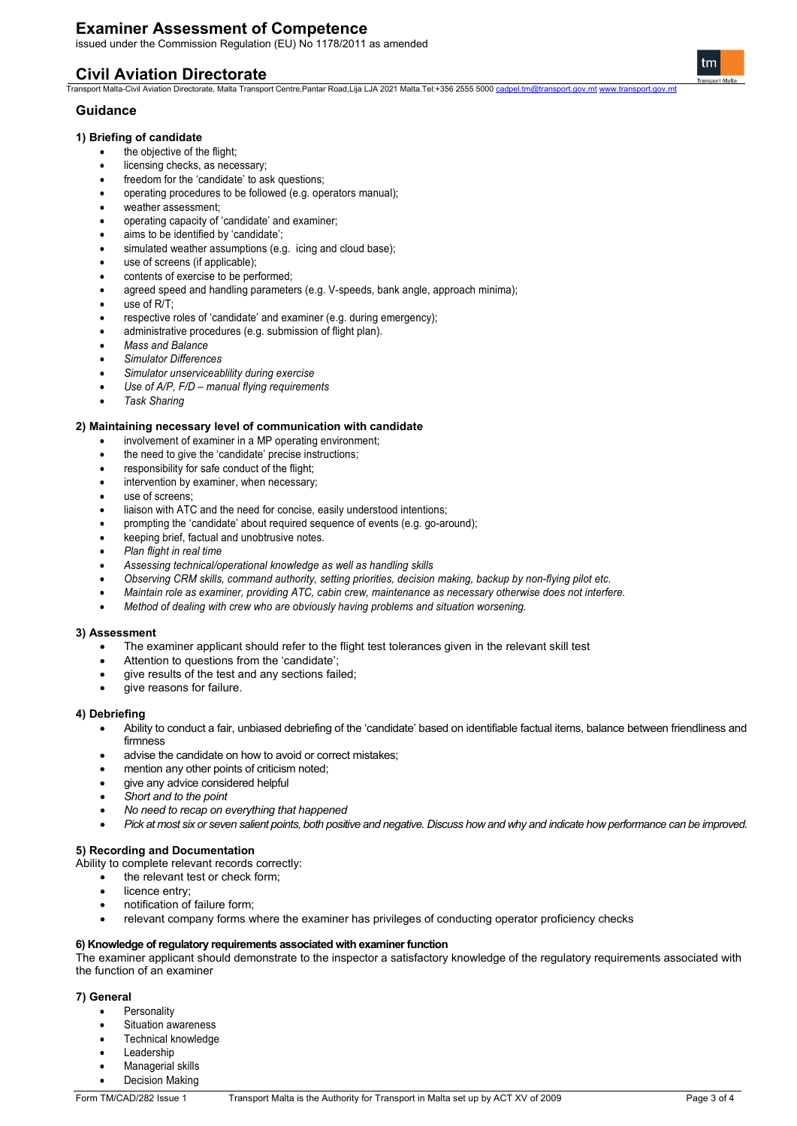## **Examiner Assessment of Competence**

issued under the Commission Regulation (EU) No 1178/2011 as amended

## **Civil Aviation Directorate**

Transport Malta-Civil Aviation Directorate, Malta Transport Centre,Pantar Road,Lija LJA 2021 Malta.Tel:+356 2555 5000 [cadpel.tm@transport.gov.mt](mailto:cadpel.tm@transport.gov.mt) [www.transport.gov.mt](http://www.transport.gov.mt/)

#### **Guidance**

#### **1) Briefing of candidate**

- the objective of the flight;
- licensing checks, as necessary;
- freedom for the 'candidate' to ask questions;
- operating procedures to be followed (e.g. operators manual);
- weather assessment;
- operating capacity of 'candidate' and examiner;
- aims to be identified by 'candidate';
- simulated weather assumptions (e.g. icing and cloud base);
- use of screens (if applicable);
- contents of exercise to be performed;
- agreed speed and handling parameters (e.g. V-speeds, bank angle, approach minima);
- use of  $R/T$ :
- respective roles of 'candidate' and examiner (e.g. during emergency);
- administrative procedures (e.g. submission of flight plan).
- *Mass and Balance*
- *Simulator Differences*
- *Simulator unserviceablility during exercise*
- *Use of A/P, F/D – manual flying requirements*
- *Task Sharing*

#### **2) Maintaining necessary level of communication with candidate**

- involvement of examiner in a MP operating environment;
- the need to give the 'candidate' precise instructions;
- responsibility for safe conduct of the flight;
- intervention by examiner, when necessary;
- use of screens;
- liaison with ATC and the need for concise, easily understood intentions;
- prompting the 'candidate' about required sequence of events (e.g. go-around);
- keeping brief, factual and unobtrusive notes.
- *Plan flight in real time*
- *Assessing technical/operational knowledge as well as handling skills*
- *Observing CRM skills, command authority, setting priorities, decision making, backup by non-flying pilot etc.*
- *Maintain role as examiner, providing ATC, cabin crew, maintenance as necessary otherwise does not interfere.*
- *Method of dealing with crew who are obviously having problems and situation worsening.*

#### **3) Assessment**

- The examiner applicant should refer to the flight test tolerances given in the relevant skill test
- Attention to questions from the 'candidate';
- give results of the test and any sections failed;
- give reasons for failure.

#### **4) Debriefing**

- Ability to conduct a fair, unbiased debriefing of the 'candidate' based on identifiable factual items, balance between friendliness and firmness
- advise the candidate on how to avoid or correct mistakes;
- mention any other points of criticism noted;
- give any advice considered helpful
- *Short and to the point*
- *No need to recap on everything that happened*
- Pick at most six or seven salient points, both positive and negative. Discuss how and why and indicate how performance can be improved.

#### **5) Recording and Documentation**

Ability to complete relevant records correctly:

- the relevant test or check form;
- licence entry:
- notification of failure form;
- relevant company forms where the examiner has privileges of conducting operator proficiency checks

#### **6) Knowledge of regulatory requirements associated with examiner function**

The examiner applicant should demonstrate to the inspector a satisfactory knowledge of the regulatory requirements associated with the function of an examiner

#### **7) General**

- **Personality**
- Situation awareness
- Technical knowledge
- **Leadership**
- Managerial skills
- Decision Making